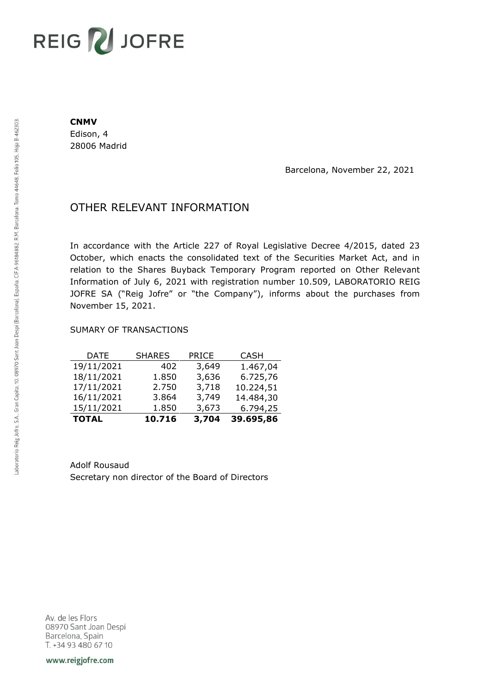# REIG V JOFRE

#### **CNMV**

Edison, 4 28006 Madrid

Barcelona, November 22, 2021

## OTHER RELEVANT INFORMATION

In accordance with the Article 227 of Royal Legislative Decree 4/2015, dated 23 October, which enacts the consolidated text of the Securities Market Act, and in relation to the Shares Buyback Temporary Program reported on Other Relevant Information of July 6, 2021 with registration number 10.509, LABORATORIO REIG JOFRE SA ("Reig Jofre" or "the Company"), informs about the purchases from November 15, 2021.

### SUMARY OF TRANSACTIONS

| <b>TOTAL</b> | 10.716        | 3,704        | 39.695,86   |
|--------------|---------------|--------------|-------------|
| 15/11/2021   | 1.850         | 3,673        | 6.794,25    |
| 16/11/2021   | 3.864         | 3,749        | 14.484,30   |
| 17/11/2021   | 2.750         | 3,718        | 10.224,51   |
| 18/11/2021   | 1.850         | 3,636        | 6.725,76    |
| 19/11/2021   | 402           | 3,649        | 1.467,04    |
| DATE         | <b>SHARES</b> | <b>PRICE</b> | <b>CASH</b> |

Adolf Rousaud Secretary non director of the Board of Directors

Av. de les Flors 08970 Sant Joan Despi Barcelona, Spain T. +34 93 480 67 10

www.reigjofre.com